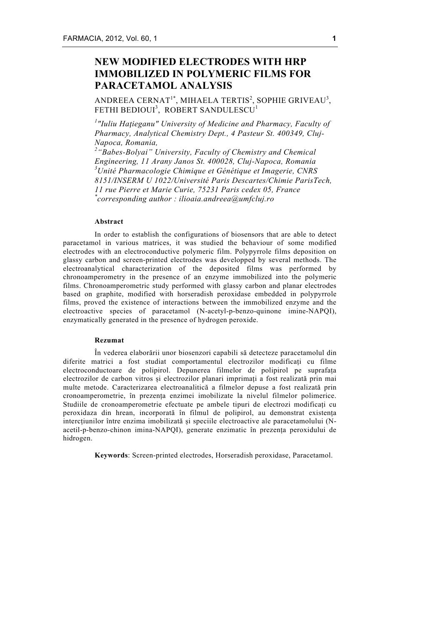# **NEW MODIFIED ELECTRODES WITH HRP IMMOBILIZED IN POLYMERIC FILMS FOR PARACETAMOL ANALYSIS**

ANDREEA CERNAT<sup>1\*</sup>, MIHAELA TERTIS<sup>2</sup>, SOPHIE GRIVEAU<sup>3</sup>, FETHI BEDIOUI<sup>3</sup>, ROBERT SANDULESCU<sup>1</sup>

*1 "Iuliu Haţieganu" University of Medicine and Pharmacy, Faculty of Pharmacy, Analytical Chemistry Dept., 4 Pasteur St. 400349, Cluj-Napoca, Romania,* 

*2 "Babes-Bolyai" University, Faculty of Chemistry and Chemical Engineering, 11 Arany Janos St. 400028, Cluj-Napoca, Romania 3 Unité Pharmacologie Chimique et Génétique et Imagerie, CNRS 8151/INSERM U 1022/Université Paris Descartes/Chimie ParisTech, 11 rue Pierre et Marie Curie, 75231 Paris cedex 05, France \* corresponding author : ilioaia.andreea@umfcluj.ro*

### **Abstract**

In order to establish the configurations of biosensors that are able to detect paracetamol in various matrices, it was studied the behaviour of some modified electrodes with an electroconductive polymeric film. Polypyrrole films deposition on glassy carbon and screen-printed electrodes was developped by several methods. The electroanalytical characterization of the deposited films was performed by chronoamperometry in the presence of an enzyme immobilized into the polymeric films. Chronoamperometric study performed with glassy carbon and planar electrodes based on graphite, modified with horseradish peroxidase embedded in polypyrrole films, proved the existence of interactions between the immobilized enzyme and the electroactive species of paracetamol (N-acetyl-p-benzo-quinone imine-NAPQI), enzymatically generated in the presence of hydrogen peroxide.

## **Rezumat**

În vederea elaborării unor biosenzori capabili să detecteze paracetamolul din diferite matrici a fost studiat comportamentul electrozilor modificați cu filme electroconductoare de polipirol. Depunerea filmelor de polipirol pe suprafața electrozilor de carbon vitros și electrozilor planari imprimați a fost realizată prin mai multe metode. Caracterizarea electroanalitică a filmelor depuse a fost realizată prin cronoamperometrie, în prezența enzimei imobilizate la nivelul filmelor polimerice. Studiile de cronoamperometrie efectuate pe ambele tipuri de electrozi modificați cu peroxidaza din hrean, incorporată în filmul de polipirol, au demonstrat existența intercțiunilor între enzima imobilizată și speciile electroactive ale paracetamolului (Nacetil-p-benzo-chinon imina-NAPQI), generate enzimatic în prezența peroxidului de hidrogen.

**Keywords**: Screen-printed electrodes, Horseradish peroxidase, Paracetamol.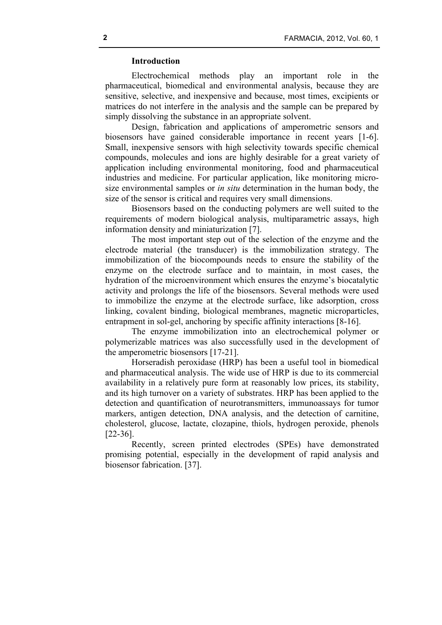# **Introduction**

Electrochemical methods play an important role in the pharmaceutical, biomedical and environmental analysis, because they are sensitive, selective, and inexpensive and because, most times, excipients or matrices do not interfere in the analysis and the sample can be prepared by simply dissolving the substance in an appropriate solvent.

Design, fabrication and applications of amperometric sensors and biosensors have gained considerable importance in recent years [1-6]. Small, inexpensive sensors with high selectivity towards specific chemical compounds, molecules and ions are highly desirable for a great variety of application including environmental monitoring, food and pharmaceutical industries and medicine. For particular application, like monitoring microsize environmental samples or *in situ* determination in the human body, the size of the sensor is critical and requires very small dimensions.

Biosensors based on the conducting polymers are well suited to the requirements of modern biological analysis, multiparametric assays, high information density and miniaturization [7].

The most important step out of the selection of the enzyme and the electrode material (the transducer) is the immobilization strategy. The immobilization of the biocompounds needs to ensure the stability of the enzyme on the electrode surface and to maintain, in most cases, the hydration of the microenvironment which ensures the enzyme's biocatalytic activity and prolongs the life of the biosensors. Several methods were used to immobilize the enzyme at the electrode surface, like adsorption, cross linking, covalent binding, biological membranes, magnetic microparticles, entrapment in sol-gel, anchoring by specific affinity interactions [8-16].

The enzyme immobilization into an electrochemical polymer or polymerizable matrices was also successfully used in the development of the amperometric biosensors [17-21].

Horseradish peroxidase (HRP) has been a useful tool in biomedical and pharmaceutical analysis. The wide use of HRP is due to its commercial availability in a relatively pure form at reasonably low prices, its stability, and its high turnover on a variety of substrates. HRP has been applied to the detection and quantification of neurotransmitters, immunoassays for tumor markers, antigen detection, DNA analysis, and the detection of carnitine, cholesterol, glucose, lactate, clozapine, thiols, hydrogen peroxide, phenols [22-36].

Recently, screen printed electrodes (SPEs) have demonstrated promising potential, especially in the development of rapid analysis and biosensor fabrication. [37].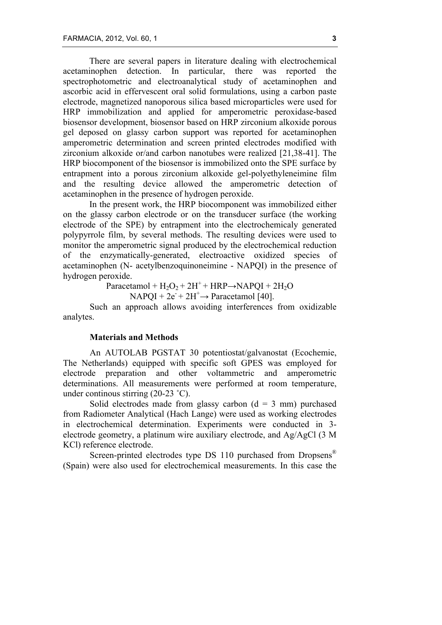There are several papers in literature dealing with electrochemical acetaminophen detection. In particular, there was reported the spectrophotometric and electroanalytical study of acetaminophen and ascorbic acid in effervescent oral solid formulations, using a carbon paste electrode, magnetized nanoporous silica based microparticles were used for HRP immobilization and applied for amperometric peroxidase-based biosensor development, biosensor based on HRP zirconium alkoxide porous gel deposed on glassy carbon support was reported for acetaminophen amperometric determination and screen printed electrodes modified with zirconium alkoxide or/and carbon nanotubes were realized [21,38-41]. The HRP biocomponent of the biosensor is immobilized onto the SPE surface by entrapment into a porous zirconium alkoxide gel-polyethyleneimine film and the resulting device allowed the amperometric detection of acetaminophen in the presence of hydrogen peroxide.

In the present work, the HRP biocomponent was immobilized either on the glassy carbon electrode or on the transducer surface (the working electrode of the SPE) by entrapment into the electrochemicaly generated polypyrrole film, by several methods. The resulting devices were used to monitor the amperometric signal produced by the electrochemical reduction of the enzymatically-generated, electroactive oxidized species of acetaminophen (N- acetylbenzoquinoneimine - NAPQI) in the presence of hydrogen peroxide.

Paracetamol +  $H_2O_2$  +  $2H^+$  + HRP $\rightarrow$ NAPQI +  $2H_2O$ 

$$
NAPQI + 2e^{+2}H^{+} \rightarrow \text{Paracetamol [40]}.
$$

Such an approach allows avoiding interferences from oxidizable analytes.

# **Materials and Methods**

An AUTOLAB PGSTAT 30 potentiostat/galvanostat (Ecochemie, The Netherlands) equipped with specific soft GPES was employed for electrode preparation and other voltammetric and amperometric determinations. All measurements were performed at room temperature, under continous stirring (20-23 ˚C).

Solid electrodes made from glassy carbon  $(d = 3$  mm) purchased from Radiometer Analytical (Hach Lange) were used as working electrodes in electrochemical determination. Experiments were conducted in 3 electrode geometry, a platinum wire auxiliary electrode, and Ag/AgCl (3 M KCl) reference electrode.

Screen-printed electrodes type DS 110 purchased from Dropsens<sup>®</sup> (Spain) were also used for electrochemical measurements. In this case the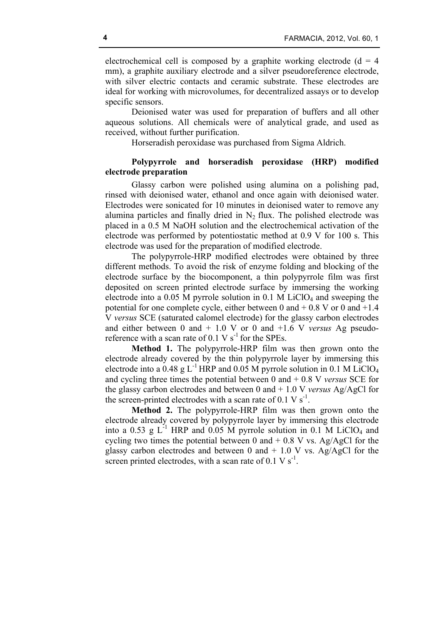electrochemical cell is composed by a graphite working electrode  $(d = 4$ mm), a graphite auxiliary electrode and a silver pseudoreference electrode, with silver electric contacts and ceramic substrate. These electrodes are ideal for working with microvolumes, for decentralized assays or to develop specific sensors.

Deionised water was used for preparation of buffers and all other aqueous solutions. All chemicals were of analytical grade, and used as received, without further purification.

Horseradish peroxidase was purchased from Sigma Aldrich.

# **Polypyrrole and horseradish peroxidase (HRP) modified electrode preparation**

Glassy carbon were polished using alumina on a polishing pad, rinsed with deionised water, ethanol and once again with deionised water. Electrodes were sonicated for 10 minutes in deionised water to remove any alumina particles and finally dried in  $N<sub>2</sub>$  flux. The polished electrode was placed in a 0.5 M NaOH solution and the electrochemical activation of the electrode was performed by potentiostatic method at 0.9 V for 100 s. This electrode was used for the preparation of modified electrode.

The polypyrrole-HRP modified electrodes were obtained by three different methods. To avoid the risk of enzyme folding and blocking of the electrode surface by the biocomponent, a thin polypyrrole film was first deposited on screen printed electrode surface by immersing the working electrode into a 0.05 M pyrrole solution in 0.1 M LiClO<sub>4</sub> and sweeping the potential for one complete cycle, either between 0 and  $+$  0.8 V or 0 and  $+1.4$ V *versus* SCE (saturated calomel electrode) for the glassy carbon electrodes and either between 0 and + 1.0 V or 0 and +1.6 V *versus* Ag pseudoreference with a scan rate of 0.1 V  $s^{-1}$  for the SPEs.

**Method 1.** The polypyrrole-HRP film was then grown onto the electrode already covered by the thin polypyrrole layer by immersing this electrode into a  $0.48$  g L<sup>-1</sup> HRP and  $0.05$  M pyrrole solution in 0.1 M LiClO<sub>4</sub> and cycling three times the potential between 0 and + 0.8 V *versus* SCE for the glassy carbon electrodes and between 0 and + 1.0 V *versus* Ag/AgCl for the screen-printed electrodes with a scan rate of  $0.1 \text{ V s}^{-1}$ .

**Method 2.** The polypyrrole-HRP film was then grown onto the electrode already covered by polypyrrole layer by immersing this electrode into a 0.53 g  $L^{-1}$  HRP and 0.05 M pyrrole solution in 0.1 M LiClO<sub>4</sub> and cycling two times the potential between 0 and  $+$  0.8 V vs. Ag/AgCl for the glassy carbon electrodes and between 0 and  $+ 1.0$  V vs. Ag/AgCl for the screen printed electrodes, with a scan rate of  $0.1 \text{ V s}^{-1}$ .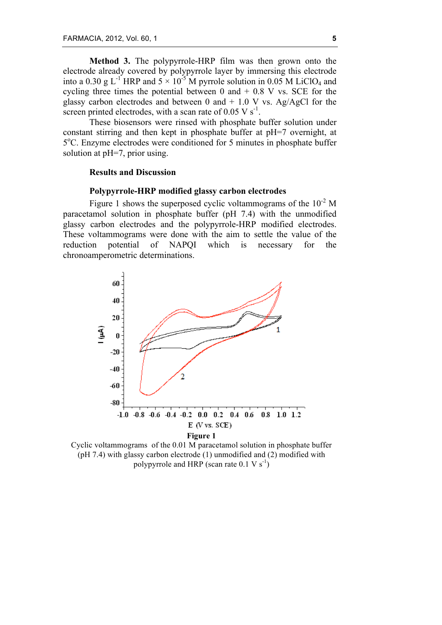**Method 3.** The polypyrrole-HRP film was then grown onto the electrode already covered by polypyrrole layer by immersing this electrode into a 0.30 g L<sup>-1</sup> HRP and  $5 \times 10^{-5}$  M pyrrole solution in 0.05 M LiClO<sub>4</sub> and cycling three times the potential between  $0$  and  $+$  0.8 V vs. SCE for the glassy carbon electrodes and between 0 and  $+ 1.0$  V vs. Ag/AgCl for the screen printed electrodes, with a scan rate of  $0.05 \text{ V s}^{-1}$ .

These biosensors were rinsed with phosphate buffer solution under constant stirring and then kept in phosphate buffer at pH=7 overnight, at 5<sup>o</sup>C. Enzyme electrodes were conditioned for 5 minutes in phosphate buffer solution at pH=7, prior using.

## **Results and Discussion**

## **Polypyrrole-HRP modified glassy carbon electrodes**

Figure 1 shows the superposed cyclic voltammograms of the  $10^{-2}$  M paracetamol solution in phosphate buffer (pH 7.4) with the unmodified glassy carbon electrodes and the polypyrrole-HRP modified electrodes. These voltammograms were done with the aim to settle the value of the reduction potential of NAPQI which is necessary for the chronoamperometric determinations.



Cyclic voltammograms of the 0.01 M paracetamol solution in phosphate buffer (pH 7.4) with glassy carbon electrode (1) unmodified and (2) modified with polypyrrole and HRP (scan rate  $0.1 \text{ V s}^{-1}$ )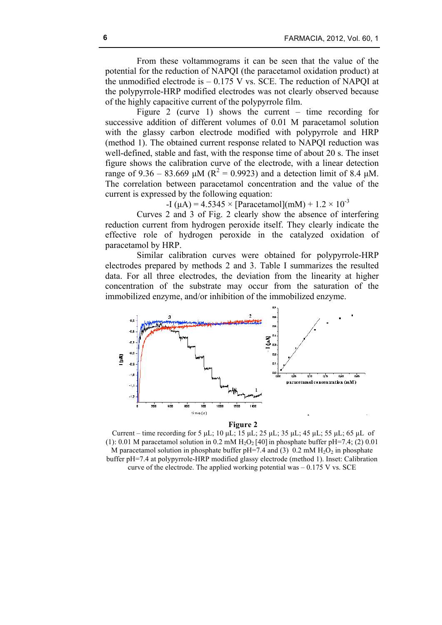From these voltammograms it can be seen that the value of the potential for the reduction of NAPQI (the paracetamol oxidation product) at the unmodified electrode is  $-0.175$  V vs. SCE. The reduction of NAPOI at the polypyrrole-HRP modified electrodes was not clearly observed because of the highly capacitive current of the polypyrrole film.

Figure 2 (curve 1) shows the current – time recording for successive addition of different volumes of 0.01 M paracetamol solution with the glassy carbon electrode modified with polypyrrole and HRP (method 1). The obtained current response related to NAPQI reduction was well-defined, stable and fast, with the response time of about 20 s. The inset figure shows the calibration curve of the electrode, with a linear detection range of 9.36 – 83.669  $\mu$ M (R<sup>2</sup> = 0.9923) and a detection limit of 8.4  $\mu$ M. The correlation between paracetamol concentration and the value of the current is expressed by the following equation:

-I (uA) =  $4.5345 \times$  [Paracetamol](mM) +  $1.2 \times 10^{-3}$ 

Curves 2 and 3 of Fig. 2 clearly show the absence of interfering reduction current from hydrogen peroxide itself. They clearly indicate the effective role of hydrogen peroxide in the catalyzed oxidation of paracetamol by HRP.

Similar calibration curves were obtained for polypyrrole-HRP electrodes prepared by methods 2 and 3. Table I summarizes the resulted data. For all three electrodes, the deviation from the linearity at higher concentration of the substrate may occur from the saturation of the immobilized enzyme, and/or inhibition of the immobilized enzyme.



#### **Figure 2**

Current – time recording for 5 µL; 10 µL; 15 µL; 25 µL; 35 µL; 45 µL; 55 µL; 65 µL of (1): 0.01 M paracetamol solution in 0.2 mM  $H_2O_2$  [40] in phosphate buffer pH=7.4; (2) 0.01 M paracetamol solution in phosphate buffer pH=7.4 and (3) 0.2 mM  $H_2O_2$  in phosphate buffer pH=7.4 at polypyrrole-HRP modified glassy electrode (method 1). Inset: Calibration curve of the electrode. The applied working potential was  $-0.175$  V vs. SCE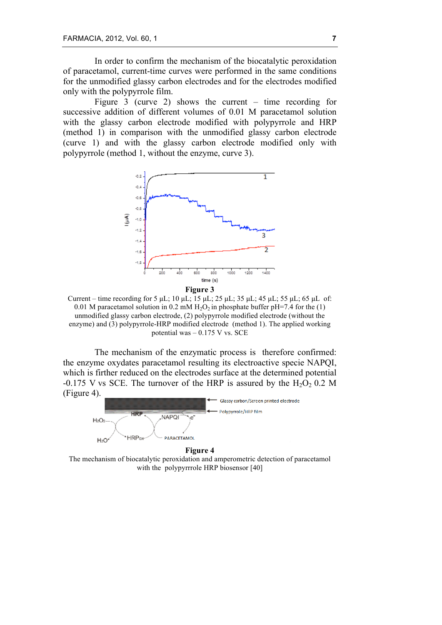In order to confirm the mechanism of the biocatalytic peroxidation of paracetamol, current-time curves were performed in the same conditions for the unmodified glassy carbon electrodes and for the electrodes modified only with the polypyrrole film.

Figure 3 (curve 2) shows the current – time recording for successive addition of different volumes of 0.01 M paracetamol solution with the glassy carbon electrode modified with polypyrrole and HRP (method 1) in comparison with the unmodified glassy carbon electrode (curve 1) and with the glassy carbon electrode modified only with polypyrrole (method 1, without the enzyme, curve 3).



Current – time recording for 5 µL; 10 µL; 15 µL; 25 µL; 35 µL; 45 µL; 55 µL; 65 µL of: 0.01 M paracetamol solution in 0.2 mM  $H_2O_2$  in phosphate buffer pH=7.4 for the (1) unmodified glassy carbon electrode, (2) polypyrrole modified electrode (without the enzyme) and (3) polypyrrole-HRP modified electrode (method 1). The applied working potential was – 0.175 V vs. SCE

The mechanism of the enzymatic process is therefore confirmed: the enzyme oxydates paracetamol resulting its electroactive specie NAPQI, which is firther reduced on the electrodes surface at the determined potential -0.175 V vs SCE. The turnover of the HRP is assured by the  $H_2O_2$  0.2 M (Figure 4).



**Figure 4** The mechanism of biocatalytic peroxidation and amperometric detection of paracetamol with the polypyrrrole HRP biosensor [40]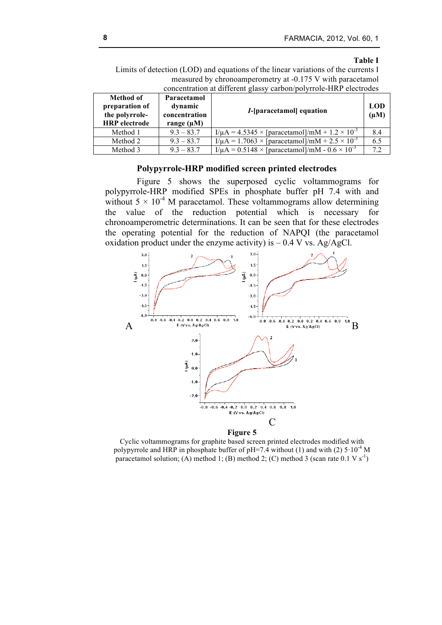### **Table I**

Limits of detection (LOD) and equations of the linear variations of the currents I measured by chronoamperometry at -0.175 V with paracetamol concentration at different glassy carbon/polyrrole-HRP electrodes

| Method of<br>preparation of<br>the polyrrole-<br><b>HRP</b> electrode | Paracetamol<br>dynamic<br>concentration<br>range $(\mu M)$ | <i>I</i> -[paracetamol] equation                                  | LOD<br>$(\mu M)$ |
|-----------------------------------------------------------------------|------------------------------------------------------------|-------------------------------------------------------------------|------------------|
| Method 1                                                              | $9.3 - 83.7$                                               | $I/\mu$ A = 4.5345 × [paracetamol]/mM + 1.2 × 10 <sup>-3</sup>    | 8.4              |
| Method 2                                                              | $9.3 - 83.7$                                               | $I/\mu$ A = 1.7063 × [paracetamol]/mM + 2.5 × 10 <sup>-3</sup>    | 6.5              |
| Method 3                                                              | $9.3 - 83.7$                                               | $I/\mu A = 0.5148 \times$ [paracetamol]/mM - $0.6 \times 10^{-3}$ | 7.2              |

# **Polypyrrole-HRP modified screen printed electrodes**

Figure 5 shows the superposed cyclic voltammograms for polypyrrole-HRP modified SPEs in phosphate buffer pH 7.4 with and without  $5 \times 10^{-4}$  M paracetamol. These voltammograms allow determining the value of the reduction potential which is necessary for chronoamperometric determinations. It can be seen that for these electrodes the operating potential for the reduction of NAPQI (the paracetamol oxidation product under the enzyme activity) is  $-0.4$  V vs. Ag/AgCl.



Cyclic voltammograms for graphite based screen printed electrodes modified with polypyrrole and HRP in phosphate buffer of pH=7.4 without (1) and with (2)  $5 \cdot 10^{-4}$  M paracetamol solution; (A) method 1; (B) method 2; (C) method 3 (scan rate  $0.1 \text{ V s}^{-1}$ )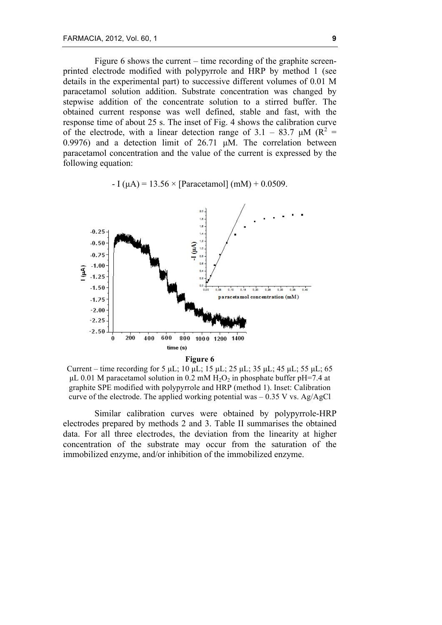Figure 6 shows the current – time recording of the graphite screenprinted electrode modified with polypyrrole and HRP by method 1 (see details in the experimental part) to successive different volumes of 0.01 M paracetamol solution addition. Substrate concentration was changed by stepwise addition of the concentrate solution to a stirred buffer. The obtained current response was well defined, stable and fast, with the response time of about 25 s. The inset of Fig. 4 shows the calibration curve of the electrode, with a linear detection range of 3.1 – 83.7  $\mu$ M (R<sup>2</sup> = 0.9976) and a detection limit of 26.71 µM. The correlation between paracetamol concentration and the value of the current is expressed by the following equation:

 $-I (µA) = 13.56 \times [Paracetamol] (mM) + 0.0509$ .



Current – time recording for 5  $\mu$ L; 10  $\mu$ L; 15  $\mu$ L; 25  $\mu$ L; 35  $\mu$ L; 45  $\mu$ L; 55  $\mu$ L; 65  $\mu$ L 0.01 M paracetamol solution in 0.2 mM H<sub>2</sub>O<sub>2</sub> in phosphate buffer pH=7.4 at graphite SPE modified with polypyrrole and HRP (method 1). Inset: Calibration curve of the electrode. The applied working potential was  $-0.35$  V vs. Ag/AgCl

Similar calibration curves were obtained by polypyrrole-HRP electrodes prepared by methods 2 and 3. Table II summarises the obtained data. For all three electrodes, the deviation from the linearity at higher concentration of the substrate may occur from the saturation of the immobilized enzyme, and/or inhibition of the immobilized enzyme.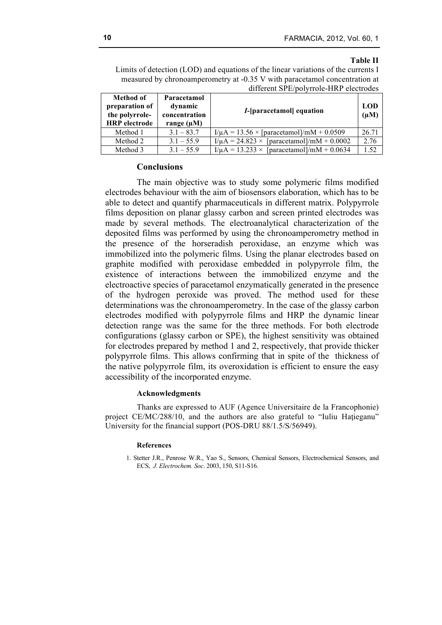### **Table II**

Limits of detection (LOD) and equations of the linear variations of the currents I measured by chronoamperometry at -0.35 V with paracetamol concentration at different SPE/polyrrole-HRP electrodes

| <b>Method of</b><br>preparation of<br>the polyrrole-<br><b>HRP</b> electrode | Paracetamol<br>dynamic<br>concentration<br>range $(\mu M)$ | <i>I</i> -[paracetamol] equation                    | <b>LOD</b><br>$(\mu M)$ |
|------------------------------------------------------------------------------|------------------------------------------------------------|-----------------------------------------------------|-------------------------|
| Method 1                                                                     | $3.1 - 83.7$                                               | $I/\mu$ A = 13.56 × [paracetamol]/mM + 0.0509       | 26.71                   |
| Method 2                                                                     | $3.1 - 55.9$                                               | $I/\mu$ A = 24.823 × [paracetamol]/mM + 0.0002      | 2.76                    |
| Method 3                                                                     | $3.1 - 55.9$                                               | $I/\mu A = 13.233 \times$ [paracetamol]/mM + 0.0634 | l 52                    |

# **Conclusions**

The main objective was to study some polymeric films modified electrodes behaviour with the aim of biosensors elaboration, which has to be able to detect and quantify pharmaceuticals in different matrix. Polypyrrole films deposition on planar glassy carbon and screen printed electrodes was made by several methods. The electroanalytical characterization of the deposited films was performed by using the chronoamperometry method in the presence of the horseradish peroxidase, an enzyme which was immobilized into the polymeric films. Using the planar electrodes based on graphite modified with peroxidase embedded in polypyrrole film, the existence of interactions between the immobilized enzyme and the electroactive species of paracetamol enzymatically generated in the presence of the hydrogen peroxide was proved. The method used for these determinations was the chronoamperometry. In the case of the glassy carbon electrodes modified with polypyrrole films and HRP the dynamic linear detection range was the same for the three methods. For both electrode configurations (glassy carbon or SPE), the highest sensitivity was obtained for electrodes prepared by method 1 and 2, respectively, that provide thicker polypyrrole films. This allows confirming that in spite of the thickness of the native polypyrrole film, its overoxidation is efficient to ensure the easy accessibility of the incorporated enzyme.

# **Acknowledgments**

Thanks are expressed to AUF (Agence Universitaire de la Francophonie) project CE/MC/288/10, and the authors are also grateful to "Iuliu Hațieganu" University for the financial support (POS-DRU 88/1.5/S/56949).

### **References**

1. Stetter J.R., Penrose W.R., Yao S., Sensors, Chemical Sensors, Electrochemical Sensors, and ECS, *J. Electrochem. Soc*. 2003, 150, S11-S16.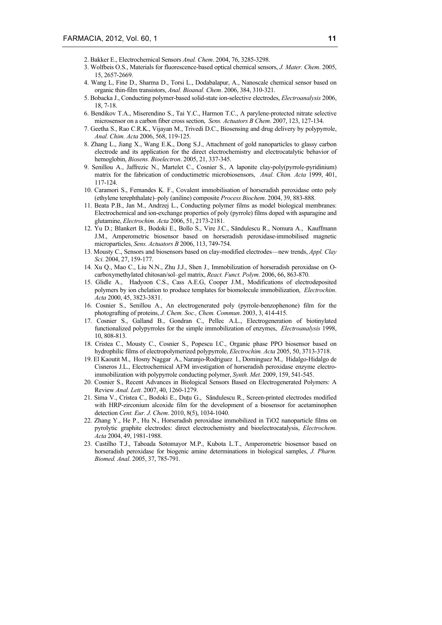- 2. Bakker E., Electrochemical Sensors *Anal. Chem*. 2004, 76, 3285-3298.
- 3. Wolfbeis O.S., Materials for fluorescence-based optical chemical sensors, *J. Mater. Chem*. 2005, 15, 2657-2669.
- 4. Wang L, Fine D., Sharma D., Torsi L., Dodabalapur, A., Nanoscale chemical sensor based on organic thin-film transistors, *Anal. Bioanal. Chem*. 2006, 384, 310-321.
- 5. Bobacka J., Conducting polymer-based solid-state ion-selective electrodes, *Electroanalysis* 2006, 18, 7-18.
- 6. Bendikov T.A., Miserendino S., Tai Y.C., Harmon T.C., A parylene-protected nitrate selective microsensor on a carbon fiber cross section, *Sens. Actuators B Chem*. 2007, 123, 127-134.
- 7. Geetha S., Rao C.R.K., Vijayan M., Trivedi D.C., Biosensing and drug delivery by polypyrrole, *Anal. Chim. Acta* 2006, 568, 119-125.
- 8. Zhang L., Jiang X., Wang E.K., Dong S.J., Attachment of gold nanoparticles to glassy carbon electrode and its application for the direct electrochemistry and electrocatalytic behavior of hemoglobin, *Biosens. Bioelectron*. 2005, 21, 337-345.
- 9. Senillou A., Jaffrezic N., Martelet C., Cosnier S., A laponite clay-poly(pyrrole-pyridinium) matrix for the fabrication of conductimetric microbiosensors, *Anal. Chim. Acta* 1999, 401, 117-124.
- 10. Caramori S., Fernandes K. F., Covalent immobilisation of horseradish peroxidase onto poly (ethylene terephthalate)–poly (aniline) composite *Process Biochem*. 2004, 39, 883-888.
- 11. Beata P.B., Jan M., Andrzej L., Conducting polymer films as model biological membranes: Electrochemical and ion-exchange properties of poly (pyrrole) films doped with asparagine and glutamine, *Electrochim. Acta* 2006, 51, 2173-2181.
- 12. Yu D.; Blankert B., Bodoki E., Bollo S., Vire J.C., Săndulescu R., Nomura A., Kauffmann J.M., Amperometric biosensor based on horseradish peroxidase-immobilised magnetic microparticles, *Sens. Actuators B* 2006, 113, 749-754.
- 13. Mousty C., Sensors and biosensors based on clay-modified electrodes—new trends, *Appl. Clay Sci.* 2004, 27, 159-177.
- 14. Xu Q., Mao C., Liu N.N., Zhu J.J., Shen J., Immobilization of horseradish peroxidase on Ocarboxymethylated chitosan/sol–gel matrix, *React. Funct. Polym*. 2006, 66, 863-870.
- 15. Glidle A., Hadyoon C.S., Cass A.E.G, Cooper J.M., Modifications of electrodeposited polymers by ion chelation to produce templates for biomolecule immobilization, *Electrochim*. *Acta* 2000, 45, 3823-3831.
- 16. Cosnier S., Senillou A., An electrogenerated poly (pyrrole-benzophenone) film for the photografting of proteins, *J. Chem. Soc., Chem. Commun*. 2003, 3, 414-415.
- 17. Cosnier S., Galland B., Gondran C., Pellec A.L., Electrogeneration of biotinylated functionalized polypyrroles for the simple immobilization of enzymes, *Electroanalysis* 1998, 10, 808-813.
- 18. Cristea C., Mousty C., Cosnier S., Popescu I.C., Organic phase PPO biosensor based on hydrophilic films of electropolymerized polypyrrole, *Electrochim. Acta* 2005, 50, 3713-3718.
- 19. El Kaoutit M., Hosny Naggar A., Naranjo-Rodriguez I., Dominguez M., Hidalgo-Hidalgo de Cisneros J.L., Electrochemical AFM investigation of horseradish peroxidase enzyme electroimmobilization with polypyrrole conducting polymer, *Synth. Met*. 2009, 159, 541-545.
- 20. Cosnier S., Recent Advances in Biological Sensors Based on Electrogenerated Polymers: A Review *Anal. Lett*. 2007, 40, 1260-1279.
- 21. Sima V., Cristea C., Bodoki E., Duţu G., Săndulescu R., Screen-printed electrodes modified with HRP-zirconium alcoxide film for the development of a biosensor for acetaminophen detection *Cent. Eur. J. Chem*. 2010, 8(5), 1034-1040.
- 22. Zhang Y., He P., Hu N., Horseradish peroxidase immobilized in TiO2 nanoparticle films on pyrolytic graphite electrodes: direct electrochemistry and bioelectrocatalysis, *Electrochem*. *Acta* 2004, 49, 1981-1988.
- 23. Castilho T.J., Taboada Sotomayor M.P., Kubota L.T., Amperometric biosensor based on horseradish peroxidase for biogenic amine determinations in biological samples, *J. Pharm. Biomed. Anal*. 2005, 37, 785-791.